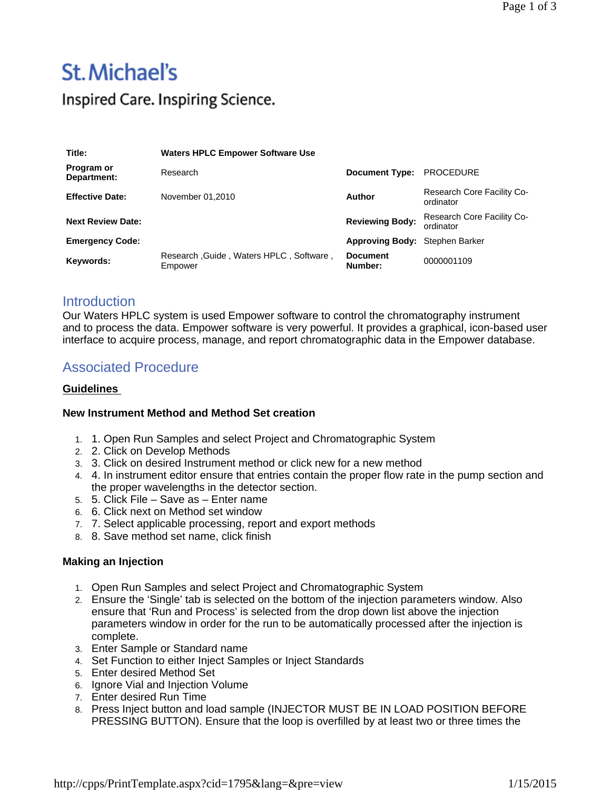# St. Michael's

Inspired Care. Inspiring Science.

| Title:                    | <b>Waters HPLC Empower Software Use</b>            |                                |                                         |
|---------------------------|----------------------------------------------------|--------------------------------|-----------------------------------------|
| Program or<br>Department: | Research                                           | <b>Document Type:</b>          | <b>PROCEDURE</b>                        |
| <b>Effective Date:</b>    | November 01.2010                                   | <b>Author</b>                  | Research Core Facility Co-<br>ordinator |
| <b>Next Review Date:</b>  |                                                    | <b>Reviewing Body:</b>         | Research Core Facility Co-<br>ordinator |
| <b>Emergency Code:</b>    |                                                    | Approving Body: Stephen Barker |                                         |
| Keywords:                 | Research, Guide, Waters HPLC, Software,<br>Empower | <b>Document</b><br>Number:     | 0000001109                              |

### **Introduction**

Our Waters HPLC system is used Empower software to control the chromatography instrument and to process the data. Empower software is very powerful. It provides a graphical, icon-based user interface to acquire process, manage, and report chromatographic data in the Empower database.

## Associated Procedure

#### **Guidelines**

#### **New Instrument Method and Method Set creation**

- 1. 1. Open Run Samples and select Project and Chromatographic System
- 2. 2. Click on Develop Methods
- 3. 3. Click on desired Instrument method or click new for a new method
- 4. 4. In instrument editor ensure that entries contain the proper flow rate in the pump section and the proper wavelengths in the detector section.
- 5. 5. Click File Save as Enter name
- 6. 6. Click next on Method set window
- 7. 7. Select applicable processing, report and export methods
- 8. 8. Save method set name, click finish

#### **Making an Injection**

- 1. Open Run Samples and select Project and Chromatographic System
- 2. Ensure the 'Single' tab is selected on the bottom of the injection parameters window. Also ensure that 'Run and Process' is selected from the drop down list above the injection parameters window in order for the run to be automatically processed after the injection is complete.
- 3. Enter Sample or Standard name
- 4. Set Function to either Inject Samples or Inject Standards
- 5. Enter desired Method Set
- 6. Ignore Vial and Injection Volume
- 7. Enter desired Run Time
- 8. Press Inject button and load sample (INJECTOR MUST BE IN LOAD POSITION BEFORE PRESSING BUTTON). Ensure that the loop is overfilled by at least two or three times the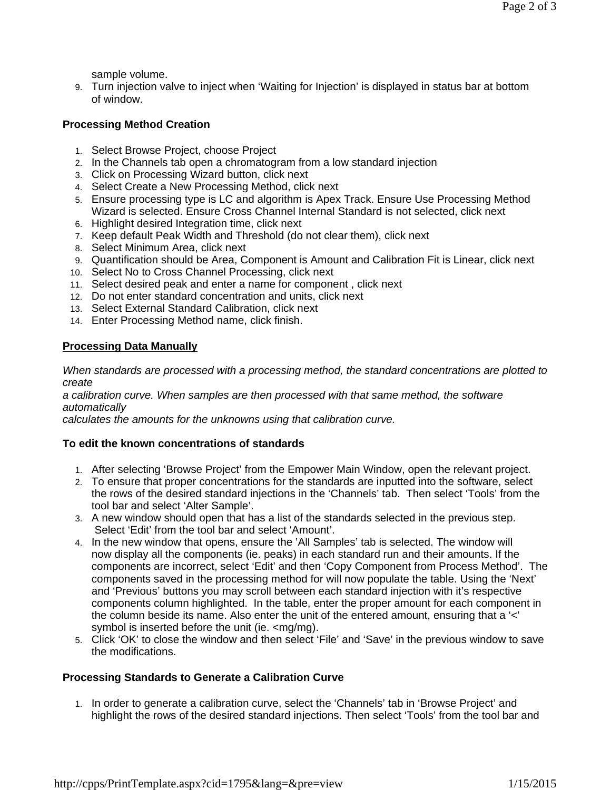sample volume.

9. Turn injection valve to inject when 'Waiting for Injection' is displayed in status bar at bottom of window.

#### **Processing Method Creation**

- 1. Select Browse Project, choose Project
- 2. In the Channels tab open a chromatogram from a low standard injection
- 3. Click on Processing Wizard button, click next
- 4. Select Create a New Processing Method, click next
- 5. Ensure processing type is LC and algorithm is Apex Track. Ensure Use Processing Method Wizard is selected. Ensure Cross Channel Internal Standard is not selected, click next
- 6. Highlight desired Integration time, click next
- 7. Keep default Peak Width and Threshold (do not clear them), click next
- 8. Select Minimum Area, click next
- 9. Quantification should be Area, Component is Amount and Calibration Fit is Linear, click next
- 10. Select No to Cross Channel Processing, click next
- 11. Select desired peak and enter a name for component , click next
- 12. Do not enter standard concentration and units, click next
- 13. Select External Standard Calibration, click next
- 14. Enter Processing Method name, click finish.

#### **Processing Data Manually**

*When standards are processed with a processing method, the standard concentrations are plotted to create*

*a calibration curve. When samples are then processed with that same method, the software automatically*

*calculates the amounts for the unknowns using that calibration curve.*

#### **To edit the known concentrations of standards**

- 1. After selecting 'Browse Project' from the Empower Main Window, open the relevant project.
- 2. To ensure that proper concentrations for the standards are inputted into the software, select the rows of the desired standard injections in the 'Channels' tab. Then select 'Tools' from the tool bar and select 'Alter Sample'.
- 3. A new window should open that has a list of the standards selected in the previous step. Select 'Edit' from the tool bar and select 'Amount'.
- 4. In the new window that opens, ensure the 'All Samples' tab is selected. The window will now display all the components (ie. peaks) in each standard run and their amounts. If the components are incorrect, select 'Edit' and then 'Copy Component from Process Method'. The components saved in the processing method for will now populate the table. Using the 'Next' and 'Previous' buttons you may scroll between each standard injection with it's respective components column highlighted. In the table, enter the proper amount for each component in the column beside its name. Also enter the unit of the entered amount, ensuring that a '<' symbol is inserted before the unit (ie. <mg/mg).
- 5. Click 'OK' to close the window and then select 'File' and 'Save' in the previous window to save the modifications.

#### **Processing Standards to Generate a Calibration Curve**

1. In order to generate a calibration curve, select the 'Channels' tab in 'Browse Project' and highlight the rows of the desired standard injections. Then select 'Tools' from the tool bar and